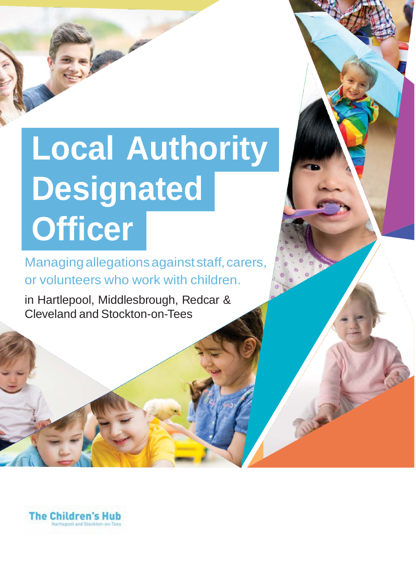# **Local Authority Designated Officer**

Managing allegations against staff, carers, or volunteers who work with children.

in Hartlepool, Middlesbrough, Redcar & Cleveland and Stockton-on-Tees

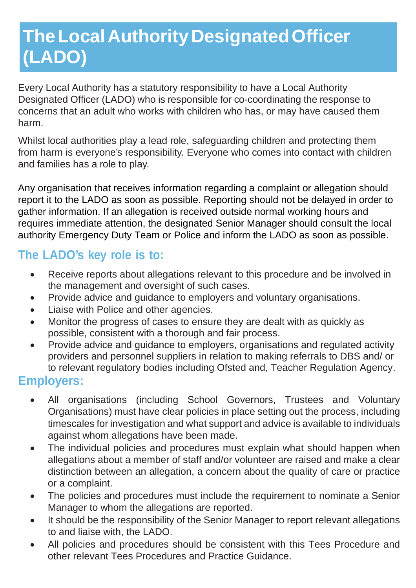# **TheLocalAuthorityDesignatedOfficer (LADO)**

Every Local Authority has a statutory responsibility to have a Local Authority Designated Officer (LADO) who is responsible for co-coordinating the response to concerns that an adult who works with children who has, or may have caused them harm.

Whilst local authorities play a lead role, safeguarding children and protecting them from harm is everyone's responsibility. Everyone who comes into contact with children and families has a role to play.

Any organisation that receives information regarding a complaint or allegation should report it to the LADO as soon as possible. Reporting should not be delayed in order to gather information. If an allegation is received outside normal working hours and requires immediate attention, the designated Senior Manager should consult the local authority Emergency Duty Team or Police and inform the LADO as soon as possible.

## **The LADO's key role is to:**

- Receive reports about allegations relevant to this procedure and be involved in the management and oversight of such cases.
- Provide advice and guidance to employers and voluntary organisations.
- Liaise with Police and other agencies.
- Monitor the progress of cases to ensure they are dealt with as quickly as possible, consistent with a thorough and fair process.
- Provide advice and guidance to employers, organisations and regulated activity providers and personnel suppliers in relation to making referrals to DBS and/ or to relevant regulatory bodies including Ofsted and, Teacher Regulation Agency.

## **Employers:**

- All organisations (including School Governors, Trustees and Voluntary Organisations) must have clear policies in place setting out the process, including timescales for investigation and what support and advice is available to individuals against whom allegations have been made.
- The individual policies and procedures must explain what should happen when allegations about a member of staff and/or volunteer are raised and make a clear distinction between an allegation, a concern about the quality of care or practice or a complaint.
- The policies and procedures must include the requirement to nominate a Senior Manager to whom the allegations are reported.
- It should be the responsibility of the Senior Manager to report relevant allegations to and liaise with, the LADO.
- All policies and procedures should be consistent with this Tees Procedure and other relevant Tees Procedures and Practice Guidance.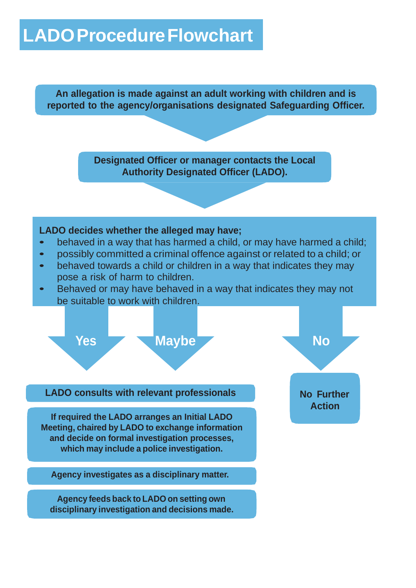## **LADOProcedureFlowchart**